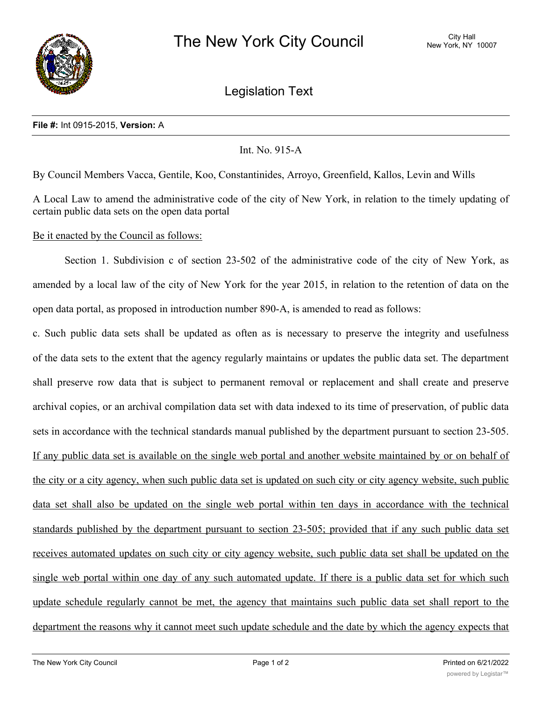

Legislation Text

## **File #:** Int 0915-2015, **Version:** A

## Int. No. 915-A

By Council Members Vacca, Gentile, Koo, Constantinides, Arroyo, Greenfield, Kallos, Levin and Wills

A Local Law to amend the administrative code of the city of New York, in relation to the timely updating of certain public data sets on the open data portal

## Be it enacted by the Council as follows:

Section 1. Subdivision c of section 23-502 of the administrative code of the city of New York, as amended by a local law of the city of New York for the year 2015, in relation to the retention of data on the open data portal, as proposed in introduction number 890-A, is amended to read as follows:

c. Such public data sets shall be updated as often as is necessary to preserve the integrity and usefulness of the data sets to the extent that the agency regularly maintains or updates the public data set. The department shall preserve row data that is subject to permanent removal or replacement and shall create and preserve archival copies, or an archival compilation data set with data indexed to its time of preservation, of public data sets in accordance with the technical standards manual published by the department pursuant to section 23-505. If any public data set is available on the single web portal and another website maintained by or on behalf of the city or a city agency, when such public data set is updated on such city or city agency website, such public data set shall also be updated on the single web portal within ten days in accordance with the technical standards published by the department pursuant to section 23-505; provided that if any such public data set receives automated updates on such city or city agency website, such public data set shall be updated on the single web portal within one day of any such automated update. If there is a public data set for which such update schedule regularly cannot be met, the agency that maintains such public data set shall report to the department the reasons why it cannot meet such update schedule and the date by which the agency expects that